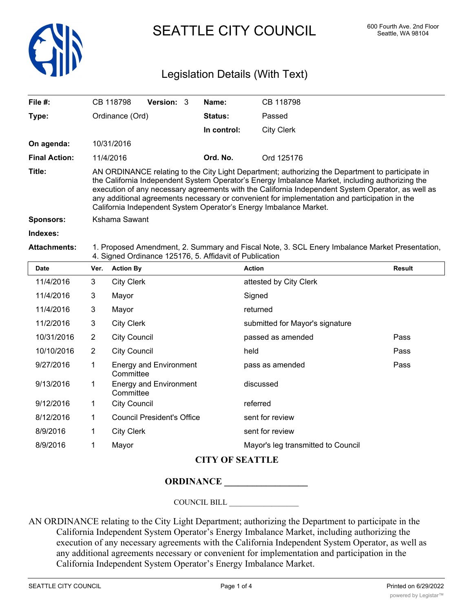

SEATTLE CITY COUNCIL 600 Fourth Ave. 2nd Floor

## Legislation Details (With Text)

| File #:              |                                                                                                                                                                                                                                                                                                                                                                                                                                                                                | CB 118798                                            | Version: 3 |  | Name:       | CB 118798                          |               |  |
|----------------------|--------------------------------------------------------------------------------------------------------------------------------------------------------------------------------------------------------------------------------------------------------------------------------------------------------------------------------------------------------------------------------------------------------------------------------------------------------------------------------|------------------------------------------------------|------------|--|-------------|------------------------------------|---------------|--|
| Type:                | Ordinance (Ord)                                                                                                                                                                                                                                                                                                                                                                                                                                                                |                                                      |            |  | Status:     | Passed                             |               |  |
|                      |                                                                                                                                                                                                                                                                                                                                                                                                                                                                                |                                                      |            |  | In control: | <b>City Clerk</b>                  |               |  |
| On agenda:           |                                                                                                                                                                                                                                                                                                                                                                                                                                                                                | 10/31/2016                                           |            |  |             |                                    |               |  |
| <b>Final Action:</b> | 11/4/2016                                                                                                                                                                                                                                                                                                                                                                                                                                                                      |                                                      |            |  | Ord. No.    | Ord 125176                         |               |  |
| Title:               | AN ORDINANCE relating to the City Light Department; authorizing the Department to participate in<br>the California Independent System Operator's Energy Imbalance Market, including authorizing the<br>execution of any necessary agreements with the California Independent System Operator, as well as<br>any additional agreements necessary or convenient for implementation and participation in the<br>California Independent System Operator's Energy Imbalance Market. |                                                      |            |  |             |                                    |               |  |
| <b>Sponsors:</b>     | Kshama Sawant                                                                                                                                                                                                                                                                                                                                                                                                                                                                  |                                                      |            |  |             |                                    |               |  |
| Indexes:             |                                                                                                                                                                                                                                                                                                                                                                                                                                                                                |                                                      |            |  |             |                                    |               |  |
| <b>Attachments:</b>  | 1. Proposed Amendment, 2. Summary and Fiscal Note, 3. SCL Enery Imbalance Market Presentation,<br>4. Signed Ordinance 125176, 5. Affidavit of Publication                                                                                                                                                                                                                                                                                                                      |                                                      |            |  |             |                                    |               |  |
| <b>Date</b>          | Ver.                                                                                                                                                                                                                                                                                                                                                                                                                                                                           | <b>Action By</b>                                     |            |  |             | <b>Action</b>                      | <b>Result</b> |  |
| 11/4/2016            | 3                                                                                                                                                                                                                                                                                                                                                                                                                                                                              | <b>City Clerk</b>                                    |            |  |             | attested by City Clerk             |               |  |
| 11/4/2016            | $\mathbf{3}$                                                                                                                                                                                                                                                                                                                                                                                                                                                                   | Mayor                                                |            |  |             | Signed                             |               |  |
| 11/4/2016            | 3                                                                                                                                                                                                                                                                                                                                                                                                                                                                              | Mayor                                                |            |  |             | returned                           |               |  |
| 11/2/2016            | $\mathbf{3}$                                                                                                                                                                                                                                                                                                                                                                                                                                                                   | <b>City Clerk</b>                                    |            |  |             | submitted for Mayor's signature    |               |  |
| 10/31/2016           | $\overline{2}$                                                                                                                                                                                                                                                                                                                                                                                                                                                                 | <b>City Council</b>                                  |            |  |             | passed as amended                  | Pass          |  |
| 10/10/2016           | $\overline{2}$                                                                                                                                                                                                                                                                                                                                                                                                                                                                 | <b>City Council</b>                                  |            |  |             | held                               | Pass          |  |
| 9/27/2016            | 1                                                                                                                                                                                                                                                                                                                                                                                                                                                                              | <b>Energy and Environment</b><br>Committee           |            |  |             | pass as amended                    | Pass          |  |
| 9/13/2016            | $\mathbf 1$                                                                                                                                                                                                                                                                                                                                                                                                                                                                    | <b>Energy and Environment</b><br>Committee           |            |  |             | discussed                          |               |  |
| 9/12/2016            | 1                                                                                                                                                                                                                                                                                                                                                                                                                                                                              | <b>City Council</b>                                  |            |  |             | referred                           |               |  |
| 8/12/2016            | $\mathbf 1$                                                                                                                                                                                                                                                                                                                                                                                                                                                                    | <b>Council President's Office</b><br>sent for review |            |  |             |                                    |               |  |
| 8/9/2016             | 1                                                                                                                                                                                                                                                                                                                                                                                                                                                                              | <b>City Clerk</b>                                    |            |  |             | sent for review                    |               |  |
| 8/9/2016             | 1                                                                                                                                                                                                                                                                                                                                                                                                                                                                              | Mavor                                                |            |  |             | Mayor's leg transmitted to Council |               |  |

## **CITY OF SEATTLE**

## **ORDINANCE \_\_\_\_\_\_\_\_\_\_\_\_\_\_\_\_\_\_**

COUNCIL BILL \_\_\_\_\_\_\_\_\_\_\_\_\_\_\_\_\_\_

AN ORDINANCE relating to the City Light Department; authorizing the Department to participate in the California Independent System Operator's Energy Imbalance Market, including authorizing the execution of any necessary agreements with the California Independent System Operator, as well as any additional agreements necessary or convenient for implementation and participation in the California Independent System Operator's Energy Imbalance Market.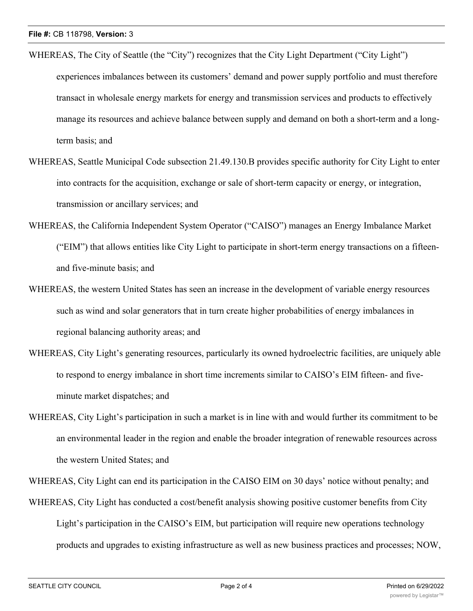- WHEREAS, The City of Seattle (the "City") recognizes that the City Light Department ("City Light") experiences imbalances between its customers' demand and power supply portfolio and must therefore transact in wholesale energy markets for energy and transmission services and products to effectively manage its resources and achieve balance between supply and demand on both a short-term and a longterm basis; and
- WHEREAS, Seattle Municipal Code subsection 21.49.130.B provides specific authority for City Light to enter into contracts for the acquisition, exchange or sale of short-term capacity or energy, or integration, transmission or ancillary services; and
- WHEREAS, the California Independent System Operator ("CAISO") manages an Energy Imbalance Market ("EIM") that allows entities like City Light to participate in short-term energy transactions on a fifteenand five-minute basis; and
- WHEREAS, the western United States has seen an increase in the development of variable energy resources such as wind and solar generators that in turn create higher probabilities of energy imbalances in regional balancing authority areas; and
- WHEREAS, City Light's generating resources, particularly its owned hydroelectric facilities, are uniquely able to respond to energy imbalance in short time increments similar to CAISO's EIM fifteen- and fiveminute market dispatches; and
- WHEREAS, City Light's participation in such a market is in line with and would further its commitment to be an environmental leader in the region and enable the broader integration of renewable resources across the western United States; and

WHEREAS, City Light can end its participation in the CAISO EIM on 30 days' notice without penalty; and

WHEREAS, City Light has conducted a cost/benefit analysis showing positive customer benefits from City Light's participation in the CAISO's EIM, but participation will require new operations technology products and upgrades to existing infrastructure as well as new business practices and processes; NOW,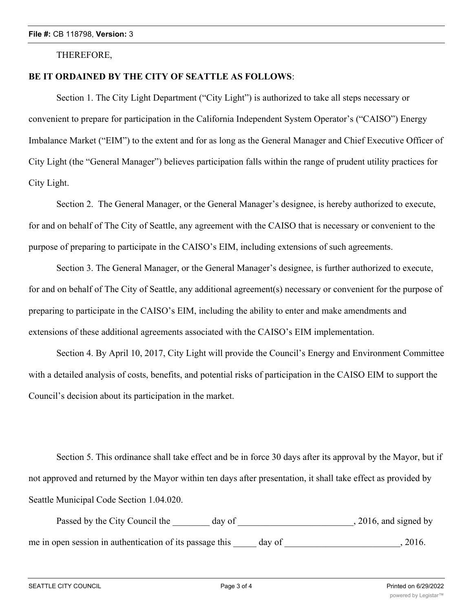THEREFORE,

## **BE IT ORDAINED BY THE CITY OF SEATTLE AS FOLLOWS**:

Section 1. The City Light Department ("City Light") is authorized to take all steps necessary or convenient to prepare for participation in the California Independent System Operator's ("CAISO") Energy Imbalance Market ("EIM") to the extent and for as long as the General Manager and Chief Executive Officer of City Light (the "General Manager") believes participation falls within the range of prudent utility practices for City Light.

Section 2. The General Manager, or the General Manager's designee, is hereby authorized to execute, for and on behalf of The City of Seattle, any agreement with the CAISO that is necessary or convenient to the purpose of preparing to participate in the CAISO's EIM, including extensions of such agreements.

Section 3. The General Manager, or the General Manager's designee, is further authorized to execute, for and on behalf of The City of Seattle, any additional agreement(s) necessary or convenient for the purpose of preparing to participate in the CAISO's EIM, including the ability to enter and make amendments and extensions of these additional agreements associated with the CAISO's EIM implementation.

Section 4. By April 10, 2017, City Light will provide the Council's Energy and Environment Committee with a detailed analysis of costs, benefits, and potential risks of participation in the CAISO EIM to support the Council's decision about its participation in the market.

Section 5. This ordinance shall take effect and be in force 30 days after its approval by the Mayor, but if not approved and returned by the Mayor within ten days after presentation, it shall take effect as provided by Seattle Municipal Code Section 1.04.020.

Passed by the City Council the \_\_\_\_\_\_\_ day of \_\_\_\_\_\_\_\_\_\_\_\_\_\_\_\_\_\_\_\_\_\_\_\_, 2016, and signed by me in open session in authentication of its passage this day of  $\qquad \qquad$ , 2016.